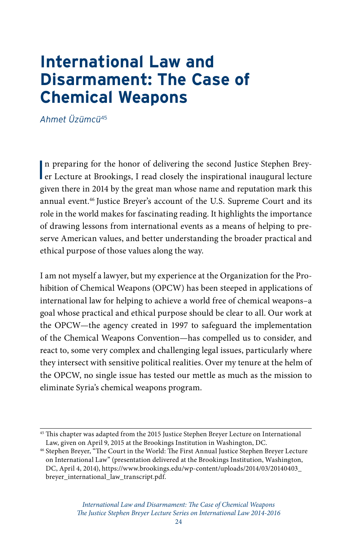# **International Law and Disarmament: The Case of Chemical Weapons**

*Ahmet Üzümcü*<sup>45</sup>

In preparing for the honor of delivering the second Justice Stephen Brey-<br>
er Lecture at Brookings, I read closely the inspirational inaugural lecture n preparing for the honor of delivering the second Justice Stephen Breygiven there in 2014 by the great man whose name and reputation mark this annual event.46 Justice Breyer's account of the U.S. Supreme Court and its role in the world makes for fascinating reading. It highlights the importance of drawing lessons from international events as a means of helping to preserve American values, and better understanding the broader practical and ethical purpose of those values along the way.

I am not myself a lawyer, but my experience at the Organization for the Prohibition of Chemical Weapons (OPCW) has been steeped in applications of international law for helping to achieve a world free of chemical weapons–a goal whose practical and ethical purpose should be clear to all. Our work at the OPCW—the agency created in 1997 to safeguard the implementation of the Chemical Weapons Convention—has compelled us to consider, and react to, some very complex and challenging legal issues, particularly where they intersect with sensitive political realities. Over my tenure at the helm of the OPCW, no single issue has tested our mettle as much as the mission to eliminate Syria's chemical weapons program.

<sup>&</sup>lt;sup>45</sup> This chapter was adapted from the 2015 Justice Stephen Breyer Lecture on International [Law,](https://www.brookings.edu/events/the-search-for-international-consensus-on-syria-and-beyond/) given on April 9, 2015 at the Brookings Institution in Washington, DC.

<sup>46</sup> Stephen Breyer, "The Court in the World: The First Annual Justice Stephen Breyer Lecture on International Law" (presentation delivered at the Brookings Institution, Washington, DC, April 4, 2014), [https://www.brookings.edu/wp-content/uploads/2014/03/20140403\\_](https://www.brookings.edu/wp-content/uploads/2014/03/20140403_breyer_international_law_transcript.pdf) [breyer\\_international\\_law\\_transcript.pdf](https://www.brookings.edu/wp-content/uploads/2014/03/20140403_breyer_international_law_transcript.pdf).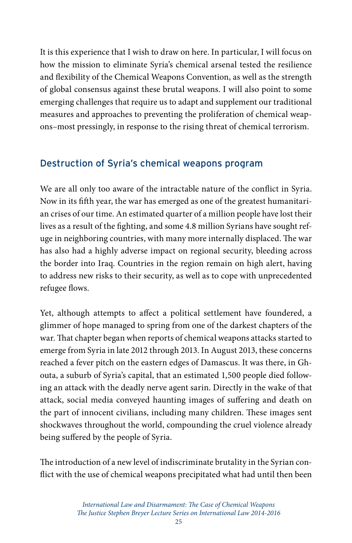It is this experience that I wish to draw on here. In particular, I will focus on how the mission to eliminate Syria's chemical arsenal tested the resilience and flexibility of the Chemical Weapons Convention, as well as the strength of global consensus against these brutal weapons. I will also point to some emerging challenges that require us to adapt and supplement our traditional measures and approaches to preventing the proliferation of chemical weapons–most pressingly, in response to the rising threat of chemical terrorism.

### Destruction of Syria's chemical weapons program

We are all only too aware of the intractable nature of the conflict in Syria. Now in its fifth year, the war has emerged as one of the greatest humanitarian crises of our time. An estimated quarter of a million people have lost their lives as a result of the fighting, and some 4.8 million Syrians have sought refuge in neighboring countries, with many more internally displaced. The war has also had a highly adverse impact on regional security, bleeding across the border into Iraq. Countries in the region remain on high alert, having to address new risks to their security, as well as to cope with unprecedented refugee flows.

Yet, although attempts to affect a political settlement have foundered, a glimmer of hope managed to spring from one of the darkest chapters of the war. That chapter began when reports of chemical weapons attacks started to emerge from Syria in late 2012 through 2013. In August 2013, these concerns reached a fever pitch on the eastern edges of Damascus. It was there, in Ghouta, a suburb of Syria's capital, that an estimated 1,500 people died following an attack with the deadly nerve agent sarin. Directly in the wake of that attack, social media conveyed haunting images of suffering and death on the part of innocent civilians, including many children. These images sent shockwaves throughout the world, compounding the cruel violence already being suffered by the people of Syria.

The introduction of a new level of indiscriminate brutality in the Syrian conflict with the use of chemical weapons precipitated what had until then been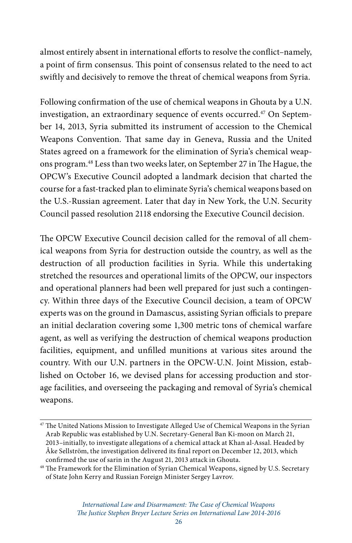almost entirely absent in international efforts to resolve the conflict–namely, a point of firm consensus. This point of consensus related to the need to act swiftly and decisively to remove the threat of chemical weapons from Syria.

Following confirmation of the use of chemical weapons in Ghouta by a U.N. investigation, an extraordinary sequence of events occurred.<sup>47</sup> On September 14, 2013, Syria submitted its instrument of accession to the Chemical Weapons Convention. That same day in Geneva, Russia and the United States agreed on a framework for the elimination of Syria's chemical weapons program.48 Less than two weeks later, on September 27 in The Hague, the OPCW's Executive Council adopted a landmark decision that charted the course for a fast-tracked plan to eliminate Syria's chemical weapons based on the U.S.-Russian agreement. Later that day in New York, the U.N. Security Council passed resolution 2118 endorsing the Executive Council decision.

The OPCW Executive Council decision called for the removal of all chemical weapons from Syria for destruction outside the country, as well as the destruction of all production facilities in Syria. While this undertaking stretched the resources and operational limits of the OPCW, our inspectors and operational planners had been well prepared for just such a contingency. Within three days of the Executive Council decision, a team of OPCW experts was on the ground in Damascus, assisting Syrian officials to prepare an initial declaration covering some 1,300 metric tons of chemical warfare agent, as well as verifying the destruction of chemical weapons production facilities, equipment, and unfilled munitions at various sites around the country. With our U.N. partners in the OPCW-U.N. Joint Mission, established on October 16, we devised plans for accessing production and storage facilities, and overseeing the packaging and removal of Syria's chemical weapons.

<sup>&</sup>lt;sup>47</sup> The United Nations Mission to Investigate Alleged Use of Chemical Weapons in the Syrian Arab Republic was established by U.N. Secretary-General Ban Ki-moon on March 21, 2013–initially, to investigate allegations of a chemical attack at Khan al-Assal. Headed by Åke Sellström, the investigation delivered its final report on December 12, 2013, which confirmed the use of sarin in the August 21, 2013 attack in Ghouta.

<sup>&</sup>lt;sup>48</sup> The Framework for the Elimination of Syrian Chemical Weapons, signed by U.S. Secretary of State John Kerry and Russian Foreign Minister Sergey Lavrov.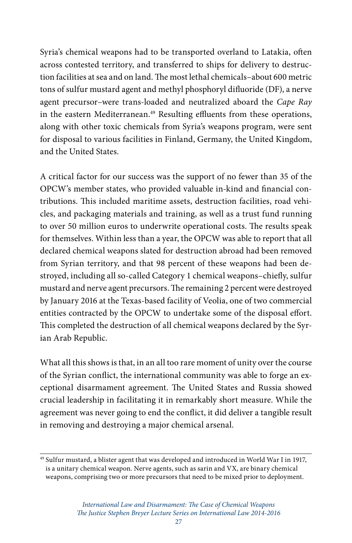Syria's chemical weapons had to be transported overland to Latakia, often across contested territory, and transferred to ships for delivery to destruction facilities at sea and on land. The most lethal chemicals–about 600 metric tons of sulfur mustard agent and methyl phosphoryl difluoride (DF), a nerve agent precursor–were trans-loaded and neutralized aboard the *Cape Ray* in the eastern Mediterranean.<sup>49</sup> Resulting effluents from these operations, along with other toxic chemicals from Syria's weapons program, were sent for disposal to various facilities in Finland, Germany, the United Kingdom, and the United States.

A critical factor for our success was the support of no fewer than 35 of the OPCW's member states, who provided valuable in-kind and financial contributions. This included maritime assets, destruction facilities, road vehicles, and packaging materials and training, as well as a trust fund running to over 50 million euros to underwrite operational costs. The results speak for themselves. Within less than a year, the OPCW was able to report that all declared chemical weapons slated for destruction abroad had been removed from Syrian territory, and that 98 percent of these weapons had been destroyed, including all so-called Category 1 chemical weapons–chiefly, sulfur mustard and nerve agent precursors. The remaining 2 percent were destroyed by January 2016 at the Texas-based facility of Veolia, one of two commercial entities contracted by the OPCW to undertake some of the disposal effort. This completed the destruction of all chemical weapons declared by the Syrian Arab Republic.

What all this shows is that, in an all too rare moment of unity over the course of the Syrian conflict, the international community was able to forge an exceptional disarmament agreement. The United States and Russia showed crucial leadership in facilitating it in remarkably short measure. While the agreement was never going to end the conflict, it did deliver a tangible result in removing and destroying a major chemical arsenal.

<sup>49</sup> Sulfur mustard, a blister agent that was developed and introduced in World War I in 1917, is a unitary chemical weapon. Nerve agents, such as sarin and VX, are binary chemical weapons, comprising two or more precursors that need to be mixed prior to deployment.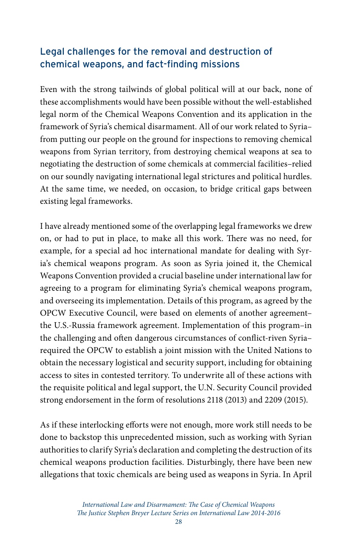### Legal challenges for the removal and destruction of chemical weapons, and fact-finding missions

Even with the strong tailwinds of global political will at our back, none of these accomplishments would have been possible without the well-established legal norm of the Chemical Weapons Convention and its application in the framework of Syria's chemical disarmament. All of our work related to Syria– from putting our people on the ground for inspections to removing chemical weapons from Syrian territory, from destroying chemical weapons at sea to negotiating the destruction of some chemicals at commercial facilities–relied on our soundly navigating international legal strictures and political hurdles. At the same time, we needed, on occasion, to bridge critical gaps between existing legal frameworks.

I have already mentioned some of the overlapping legal frameworks we drew on, or had to put in place, to make all this work. There was no need, for example, for a special ad hoc international mandate for dealing with Syria's chemical weapons program. As soon as Syria joined it, the Chemical Weapons Convention provided a crucial baseline under international law for agreeing to a program for eliminating Syria's chemical weapons program, and overseeing its implementation. Details of this program, as agreed by the OPCW Executive Council, were based on elements of another agreement– the U.S.-Russia framework agreement. Implementation of this program–in the challenging and often dangerous circumstances of conflict-riven Syria– required the OPCW to establish a joint mission with the United Nations to obtain the necessary logistical and security support, including for obtaining access to sites in contested territory. To underwrite all of these actions with the requisite political and legal support, the U.N. Security Council provided strong endorsement in the form of resolutions 2118 (2013) and 2209 (2015).

As if these interlocking efforts were not enough, more work still needs to be done to backstop this unprecedented mission, such as working with Syrian authorities to clarify Syria's declaration and completing the destruction of its chemical weapons production facilities. Disturbingly, there have been new allegations that toxic chemicals are being used as weapons in Syria. In April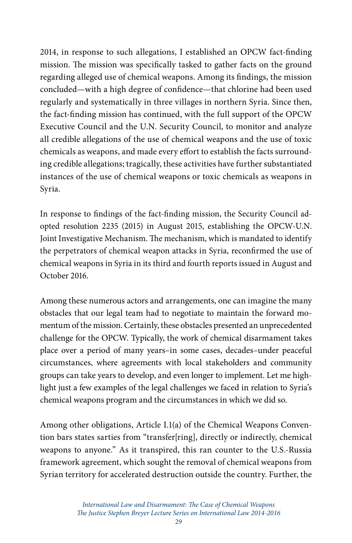2014, in response to such allegations, I established an OPCW fact-finding mission. The mission was specifically tasked to gather facts on the ground regarding alleged use of chemical weapons. Among its findings, the mission concluded—with a high degree of confidence—that chlorine had been used regularly and systematically in three villages in northern Syria. Since then, the fact-finding mission has continued, with the full support of the OPCW Executive Council and the U.N. Security Council, to monitor and analyze all credible allegations of the use of chemical weapons and the use of toxic chemicals as weapons, and made every effort to establish the facts surrounding credible allegations; tragically, these activities have further substantiated instances of the use of chemical weapons or toxic chemicals as weapons in Syria.

In response to findings of the fact-finding mission, the Security Council adopted resolution 2235 (2015) in August 2015, establishing the OPCW-U.N. Joint Investigative Mechanism. The mechanism, which is mandated to identify the perpetrators of chemical weapon attacks in Syria, reconfirmed the use of chemical weapons in Syria in its third and fourth reports issued in August and October 2016.

Among these numerous actors and arrangements, one can imagine the many obstacles that our legal team had to negotiate to maintain the forward momentum of the mission. Certainly, these obstacles presented an unprecedented challenge for the OPCW. Typically, the work of chemical disarmament takes place over a period of many years–in some cases, decades–under peaceful circumstances, where agreements with local stakeholders and community groups can take years to develop, and even longer to implement. Let me highlight just a few examples of the legal challenges we faced in relation to Syria's chemical weapons program and the circumstances in which we did so.

Among other obligations, Article I.1(a) of the Chemical Weapons Convention bars states sarties from "transfer[ring], directly or indirectly, chemical weapons to anyone." As it transpired, this ran counter to the U.S.-Russia framework agreement, which sought the removal of chemical weapons from Syrian territory for accelerated destruction outside the country. Further, the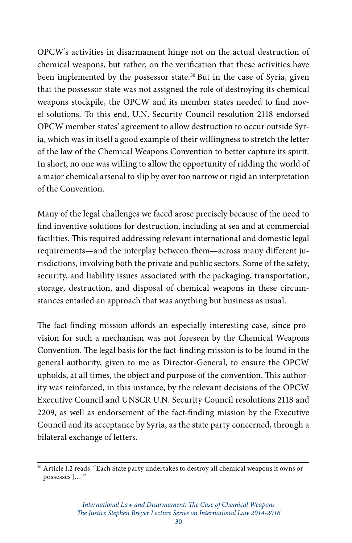OPCW's activities in disarmament hinge not on the actual destruction of chemical weapons, but rather, on the verification that these activities have been implemented by the possessor state.<sup>50</sup> But in the case of Syria, given that the possessor state was not assigned the role of destroying its chemical weapons stockpile, the OPCW and its member states needed to find novel solutions. To this end, U.N. Security Council resolution 2118 endorsed OPCW member states' agreement to allow destruction to occur outside Syria, which was in itself a good example of their willingness to stretch the letter of the law of the Chemical Weapons Convention to better capture its spirit. In short, no one was willing to allow the opportunity of ridding the world of a major chemical arsenal to slip by over too narrow or rigid an interpretation of the Convention.

Many of the legal challenges we faced arose precisely because of the need to find inventive solutions for destruction, including at sea and at commercial facilities. This required addressing relevant international and domestic legal requirements—and the interplay between them—across many different jurisdictions, involving both the private and public sectors. Some of the safety, security, and liability issues associated with the packaging, transportation, storage, destruction, and disposal of chemical weapons in these circumstances entailed an approach that was anything but business as usual.

The fact-finding mission affords an especially interesting case, since provision for such a mechanism was not foreseen by the Chemical Weapons Convention. The legal basis for the fact-finding mission is to be found in the general authority, given to me as Director-General, to ensure the OPCW upholds, at all times, the object and purpose of the convention. This authority was reinforced, in this instance, by the relevant decisions of the OPCW Executive Council and UNSCR U.N. Security Council resolutions 2118 and 2209, as well as endorsement of the fact-finding mission by the Executive Council and its acceptance by Syria, as the state party concerned, through a bilateral exchange of letters.

<sup>50</sup> Article I.2 reads, "Each State party undertakes to destroy all chemical weapons it owns or possesses […]"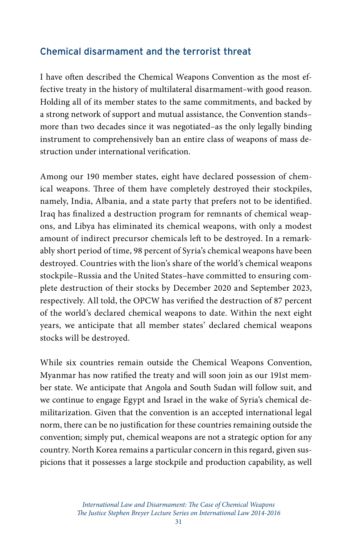#### Chemical disarmament and the terrorist threat

I have often described the Chemical Weapons Convention as the most effective treaty in the history of multilateral disarmament–with good reason. Holding all of its member states to the same commitments, and backed by a strong network of support and mutual assistance, the Convention stands– more than two decades since it was negotiated–as the only legally binding instrument to comprehensively ban an entire class of weapons of mass destruction under international verification.

Among our 190 member states, eight have declared possession of chemical weapons. Three of them have completely destroyed their stockpiles, namely, India, Albania, and a state party that prefers not to be identified. Iraq has finalized a destruction program for remnants of chemical weapons, and Libya has eliminated its chemical weapons, with only a modest amount of indirect precursor chemicals left to be destroyed. In a remarkably short period of time, 98 percent of Syria's chemical weapons have been destroyed. Countries with the lion's share of the world's chemical weapons stockpile–Russia and the United States–have committed to ensuring complete destruction of their stocks by December 2020 and September 2023, respectively. All told, the OPCW has verified the destruction of 87 percent of the world's declared chemical weapons to date. Within the next eight years, we anticipate that all member states' declared chemical weapons stocks will be destroyed.

While six countries remain outside the Chemical Weapons Convention, Myanmar has now ratified the treaty and will soon join as our 191st member state. We anticipate that Angola and South Sudan will follow suit, and we continue to engage Egypt and Israel in the wake of Syria's chemical demilitarization. Given that the convention is an accepted international legal norm, there can be no justification for these countries remaining outside the convention; simply put, chemical weapons are not a strategic option for any country. North Korea remains a particular concern in this regard, given suspicions that it possesses a large stockpile and production capability, as well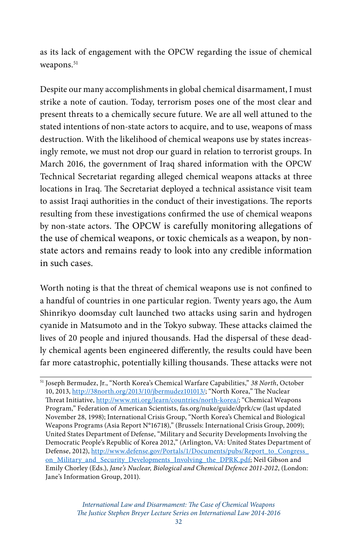as its lack of engagement with the OPCW regarding the issue of chemical weapons.<sup>51</sup>

Despite our many accomplishments in global chemical disarmament, I must strike a note of caution. Today, terrorism poses one of the most clear and present threats to a chemically secure future. We are all well attuned to the stated intentions of non-state actors to acquire, and to use, weapons of mass destruction. With the likelihood of chemical weapons use by states increasingly remote, we must not drop our guard in relation to terrorist groups. In March 2016, the government of Iraq shared information with the OPCW Technical Secretariat regarding alleged chemical weapons attacks at three locations in Iraq. The Secretariat deployed a technical assistance visit team to assist Iraqi authorities in the conduct of their investigations. The reports resulting from these investigations confirmed the use of chemical weapons by non-state actors. The OPCW is carefully monitoring allegations of the use of chemical weapons, or toxic chemicals as a weapon, by nonstate actors and remains ready to look into any credible information in such cases.

Worth noting is that the threat of chemical weapons use is not confined to a handful of countries in one particular region. Twenty years ago, the Aum Shinrikyo doomsday cult launched two attacks using sarin and hydrogen cyanide in Matsumoto and in the Tokyo subway. These attacks claimed the lives of 20 people and injured thousands. Had the dispersal of these deadly chemical agents been engineered differently, the results could have been far more catastrophic, potentially killing thousands. These attacks were not

<sup>51</sup> Joseph Bermudez, Jr., "North Korea's Chemical Warfare Capabilities," *38 North*, October 10, 2013,<http://38north.org/2013/10/jbermudez101013/>; "North Korea," The Nuclear Threat Initiative,<http://www.nti.org/learn/countries/north-korea/>; "Chemical Weapons Program," Federation of American Scientists, fas.org/nuke/guide/dprk/cw (last updated November 28, 1998); International Crisis Group, "North Korea's Chemical and Biological Weapons Programs (Asia Report N°16718)," (Brussels: International Crisis Group, 2009); United States Department of Defense, "Military and Security Developments Involving the Democratic People's Republic of Korea 2012," (Arlington, VA: United States Department of Defense, 2012), [http://www.defense.gov/Portals/1/Documents/pubs/Report\\_to\\_Congress\\_](http://www.defense.gov/Portals/1/Documents/pubs/Report_to_Congress_on_Military_and_Security_Developments_Involving_the_DPRK.pdf) [on\\_Military\\_and\\_Security\\_Developments\\_Involving\\_the\\_DPRK.pdf;](http://www.defense.gov/Portals/1/Documents/pubs/Report_to_Congress_on_Military_and_Security_Developments_Involving_the_DPRK.pdf) Neil Gibson and Emily Chorley (Eds.), *Jane's Nuclear, Biological and Chemical Defence 2011-2012*, (London: Jane's Information Group, 2011).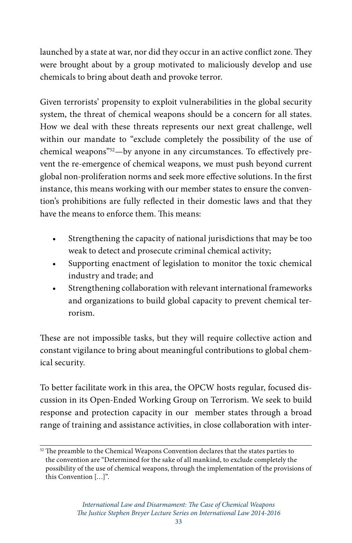launched by a state at war, nor did they occur in an active conflict zone. They were brought about by a group motivated to maliciously develop and use chemicals to bring about death and provoke terror.

Given terrorists' propensity to exploit vulnerabilities in the global security system, the threat of chemical weapons should be a concern for all states. How we deal with these threats represents our next great challenge, well within our mandate to "exclude completely the possibility of the use of chemical weapons"<sup>52</sup>-by anyone in any circumstances. To effectively prevent the re-emergence of chemical weapons, we must push beyond current global non-proliferation norms and seek more effective solutions. In the first instance, this means working with our member states to ensure the convention's prohibitions are fully reflected in their domestic laws and that they have the means to enforce them. This means:

- Strengthening the capacity of national jurisdictions that may be too weak to detect and prosecute criminal chemical activity;
- Supporting enactment of legislation to monitor the toxic chemical industry and trade; and
- Strengthening collaboration with relevant international frameworks and organizations to build global capacity to prevent chemical terrorism.

These are not impossible tasks, but they will require collective action and constant vigilance to bring about meaningful contributions to global chemical security.

To better facilitate work in this area, the OPCW hosts regular, focused discussion in its Open-Ended Working Group on Terrorism. We seek to build response and protection capacity in our member states through a broad range of training and assistance activities, in close collaboration with inter-

<sup>52</sup> The preamble to the Chemical Weapons Convention declares that the states parties to the convention are "Determined for the sake of all mankind, to exclude completely the possibility of the use of chemical weapons, through the implementation of the provisions of this Convention […]".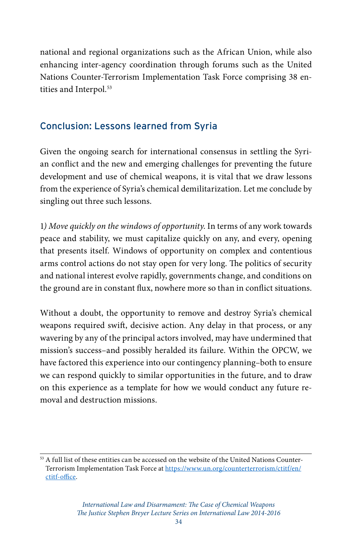national and regional organizations such as the African Union, while also enhancing inter-agency coordination through forums such as the United Nations Counter-Terrorism Implementation Task Force comprising 38 entities and Interpol.<sup>53</sup>

## Conclusion: Lessons learned from Syria

Given the ongoing search for international consensus in settling the Syrian conflict and the new and emerging challenges for preventing the future development and use of chemical weapons, it is vital that we draw lessons from the experience of Syria's chemical demilitarization. Let me conclude by singling out three such lessons.

1*) Move quickly on the windows of opportunity*. In terms of any work towards peace and stability, we must capitalize quickly on any, and every, opening that presents itself. Windows of opportunity on complex and contentious arms control actions do not stay open for very long. The politics of security and national interest evolve rapidly, governments change, and conditions on the ground are in constant flux, nowhere more so than in conflict situations.

Without a doubt, the opportunity to remove and destroy Syria's chemical weapons required swift, decisive action. Any delay in that process, or any wavering by any of the principal actors involved, may have undermined that mission's success–and possibly heralded its failure. Within the OPCW, we have factored this experience into our contingency planning–both to ensure we can respond quickly to similar opportunities in the future, and to draw on this experience as a template for how we would conduct any future removal and destruction missions.

<sup>53</sup> A full list of these entities can be accessed on the website of the United Nations Counter-Terrorism Implementation Task Force at [https://www.un.org/counterterrorism/ctitf/en/](https://www.un.org/counterterrorism/ctitf/en/ctitf-office) [ctitf-office](https://www.un.org/counterterrorism/ctitf/en/ctitf-office).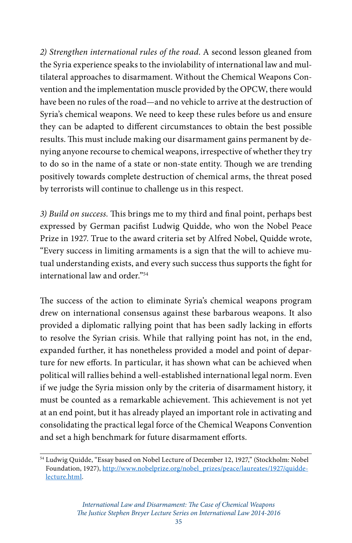*2) Strengthen international rules of the road*. A second lesson gleaned from the Syria experience speaks to the inviolability of international law and multilateral approaches to disarmament. Without the Chemical Weapons Convention and the implementation muscle provided by the OPCW, there would have been no rules of the road—and no vehicle to arrive at the destruction of Syria's chemical weapons. We need to keep these rules before us and ensure they can be adapted to different circumstances to obtain the best possible results. This must include making our disarmament gains permanent by denying anyone recourse to chemical weapons, irrespective of whether they try to do so in the name of a state or non-state entity. Though we are trending positively towards complete destruction of chemical arms, the threat posed by terrorists will continue to challenge us in this respect.

*3) Build on success.* This brings me to my third and final point, perhaps best expressed by German pacifist Ludwig Quidde, who won the Nobel Peace Prize in 1927. True to the award criteria set by Alfred Nobel, Quidde wrote, "Every success in limiting armaments is a sign that the will to achieve mutual understanding exists, and every such success thus supports the fight for international law and order."54

The success of the action to eliminate Syria's chemical weapons program drew on international consensus against these barbarous weapons. It also provided a diplomatic rallying point that has been sadly lacking in efforts to resolve the Syrian crisis. While that rallying point has not, in the end, expanded further, it has nonetheless provided a model and point of departure for new efforts. In particular, it has shown what can be achieved when political will rallies behind a well-established international legal norm. Even if we judge the Syria mission only by the criteria of disarmament history, it must be counted as a remarkable achievement. This achievement is not yet at an end point, but it has already played an important role in activating and consolidating the practical legal force of the Chemical Weapons Convention and set a high benchmark for future disarmament efforts.

<sup>54</sup> Ludwig Quidde, "Essay based on Nobel Lecture of December 12, 1927," (Stockholm: Nobel Foundation, 1927), [http://www.nobelprize.org/nobel\\_prizes/peace/laureates/1927/quidde](http://www.nobelprize.org/nobel_prizes/peace/laureates/1927/quidde-lecture.html)[lecture.html](http://www.nobelprize.org/nobel_prizes/peace/laureates/1927/quidde-lecture.html).